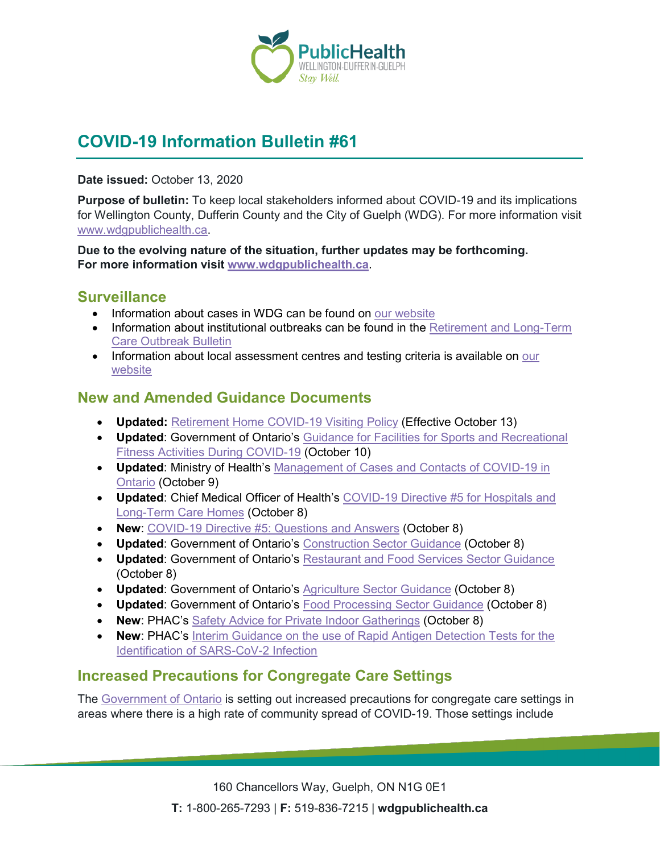

# **COVID-19 Information Bulletin #61**

**Date issued:** October 13, 2020

**Purpose of bulletin:** To keep local stakeholders informed about COVID-19 and its implications for Wellington County, Dufferin County and the City of Guelph (WDG). For more information visit [www.wdgpublichealth.ca.](http://www.wdgpublichealth.ca/)

**Due to the evolving nature of the situation, further updates may be forthcoming. For more information visit [www.wdgpublichealth.ca](http://www.wdgpublichealth.ca/)**.

### **Surveillance**

- Information about cases in WDG can be found on [our website](https://wdgpublichealth.ca/your-health/covid-19-information-public/status-cases-wdg)
- Information about institutional outbreaks can be found in the Retirement and Long-Term [Care Outbreak Bulletin](https://wdgpublichealth.ca/node/1542)
- Information about local assessment centres and testing criteria is available on our [website](https://www.wdgpublichealth.ca/your-health/covid-19-information-public/assessment-centres-wdg)

## **New and Amended Guidance Documents**

- **Updated:** [Retirement Home COVID-19 Visiting Policy](http://www.health.gov.on.ca/en/pro/programs/publichealth/coronavirus/docs/retirement_homes_visiting_policy_guidance.pdf) (Effective October 13)
- **Updated**: Government of Ontario's [Guidance for Facilities for Sports and Recreational](https://www.ontario.ca/page/guidance-facilities-sports-and-recreational-fitness-activities-during-covid-19)  [Fitness Activities During COVID-19](https://www.ontario.ca/page/guidance-facilities-sports-and-recreational-fitness-activities-during-covid-19) (October 10)
- **Updated**: Ministry of Health's [Management of Cases and Contacts of COVID-19 in](http://www.health.gov.on.ca/en/pro/programs/publichealth/coronavirus/docs/contact_mngmt/management_cases_contacts.pdf)  [Ontario](http://www.health.gov.on.ca/en/pro/programs/publichealth/coronavirus/docs/contact_mngmt/management_cases_contacts.pdf) (October 9)
- **Updated**: Chief Medical Officer of Health's [COVID-19 Directive #5 for Hospitals and](http://www.health.gov.on.ca/en/pro/programs/publichealth/coronavirus/docs/directives/public_hospitals_act.pdf)  [Long-Term Care Homes](http://www.health.gov.on.ca/en/pro/programs/publichealth/coronavirus/docs/directives/public_hospitals_act.pdf) (October 8)
- **New**: [COVID-19 Directive #5: Questions and Answers](http://www.health.gov.on.ca/en/pro/programs/publichealth/coronavirus/docs/directives/public_hospitals_act_qa.pdf) (October 8)
- **Updated**: Government of Ontario's [Construction Sector Guidance](https://www.ontario.ca/page/construction-site-health-and-safety-during-covid-19) (October 8)
- **Updated**: Government of Ontario's [Restaurant and Food Services Sector Guidance](https://www.ontario.ca/page/restaurant-and-food-services-health-and-safety-during-covid-19) (October 8)
- **Updated**: Government of Ontario's [Agriculture Sector Guidance](https://www.ontario.ca/page/agriculture-health-and-safety-during-covid-19) (October 8)
- **Updated**: Government of Ontario's [Food Processing Sector Guidance](https://www.ontario.ca/page/food-manufacturing-and-processing-health-and-safety-during-covid-19) (October 8)
- **New**: PHAC's [Safety Advice for Private Indoor Gatherings](https://www.canada.ca/en/public-health/services/diseases/2019-novel-coronavirus-infection/prevention-risks/measures-reduce-community/private-indoor-gatherings.html) (October 8)
- **New**: PHAC's [Interim Guidance on the use of Rapid Antigen Detection Tests for the](https://www.canada.ca/en/public-health/services/diseases/2019-novel-coronavirus-infection/guidance-documents/use-rapid-antigen-detection-tests.html)  [Identification of SARS-CoV-2 Infection](https://www.canada.ca/en/public-health/services/diseases/2019-novel-coronavirus-infection/guidance-documents/use-rapid-antigen-detection-tests.html)

## **Increased Precautions for Congregate Care Settings**

The [Government of Ontario](https://news.ontario.ca/en/release/58770/increased-covid-19-precautions-for-congregate-care-settings) is setting out increased precautions for congregate care settings in areas where there is a high rate of community spread of COVID-19. Those settings include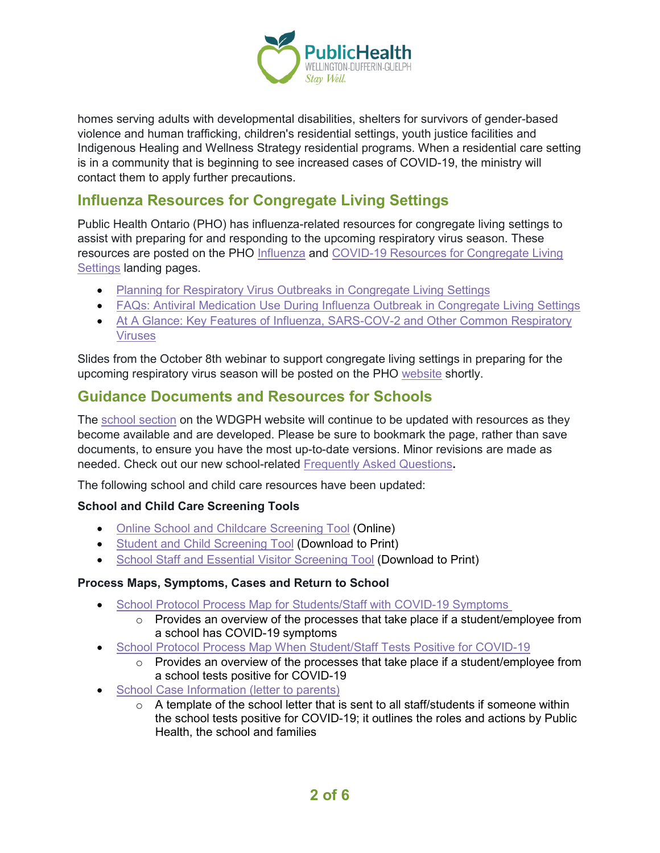

homes serving adults with developmental disabilities, shelters for survivors of gender-based violence and human trafficking, children's residential settings, youth justice facilities and Indigenous Healing and Wellness Strategy residential programs. When a residential care setting is in a community that is beginning to see increased cases of COVID-19, the ministry will contact them to apply further precautions.

## **Influenza Resources for Congregate Living Settings**

Public Health Ontario (PHO) has influenza-related resources for congregate living settings to assist with preparing for and responding to the upcoming respiratory virus season. These resources are posted on the PHO [Influenza](https://www.publichealthontario.ca/en/diseases-and-conditions/infectious-diseases/respiratory-diseases/influenza?_cldee=a2FyZW4ubXVsdmV5QHdkZ3B1YmxpY2hlYWx0aC5jYQ%3d%3d&recipientid=contact-b7522288a509eb1181c30050569e118f-df8ddfc5a5a6441cb7877b62a78cb3f8&esid=3fe087cf-8d09-eb11-81c3-0050569e118f) and [COVID-19 Resources for Congregate Living](https://www.publichealthontario.ca/en/diseases-and-conditions/infectious-diseases/respiratory-diseases/novel-coronavirus/congregate-living-settings-resources?_cldee=a2FyZW4ubXVsdmV5QHdkZ3B1YmxpY2hlYWx0aC5jYQ%3d%3d&recipientid=contact-b7522288a509eb1181c30050569e118f-df8ddfc5a5a6441cb7877b62a78cb3f8&esid=3fe087cf-8d09-eb11-81c3-0050569e118f)  [Settings](https://www.publichealthontario.ca/en/diseases-and-conditions/infectious-diseases/respiratory-diseases/novel-coronavirus/congregate-living-settings-resources?_cldee=a2FyZW4ubXVsdmV5QHdkZ3B1YmxpY2hlYWx0aC5jYQ%3d%3d&recipientid=contact-b7522288a509eb1181c30050569e118f-df8ddfc5a5a6441cb7877b62a78cb3f8&esid=3fe087cf-8d09-eb11-81c3-0050569e118f) landing pages.

- [Planning for Respiratory Virus Outbreaks in](https://www.publichealthontario.ca/-/media/documents/ncov/cong/2020/09/respiratory-virus-outbreaks-congregate-living-settings.pdf?la=en&_cldee=a2FyZW4ubXVsdmV5QHdkZ3B1YmxpY2hlYWx0aC5jYQ%3d%3d&recipientid=contact-b7522288a509eb1181c30050569e118f-df8ddfc5a5a6441cb7877b62a78cb3f8&esid=3fe087cf-8d09-eb11-81c3-0050569e118f) Congregate Living Settings
- [FAQs: Antiviral Medication Use During Influenza Outbreak in Congregate Living Settings](https://www.publichealthontario.ca/-/media/documents/f/2020/faq-antiviral-use-congregate-settings.pdf?la=en)
- At A Glance: [Key Features of Influenza, SARS-COV-2 and Other Common Respiratory](https://www.publichealthontario.ca/-/media/documents/ncov/ipac/2020/09/key-features-influenza-covid-19-respiratory-viruses.pdf?la=en)  [Viruses](https://www.publichealthontario.ca/-/media/documents/ncov/ipac/2020/09/key-features-influenza-covid-19-respiratory-viruses.pdf?la=en)

Slides from the October 8th webinar to support congregate living settings in preparing for the upcoming respiratory virus season will be posted on the PHO [website](https://www.publichealthontario.ca/en/education-and-events/presentations?_cldee=a2FyZW4ubXVsdmV5QHdkZ3B1YmxpY2hlYWx0aC5jYQ%3d%3d&recipientid=contact-b7522288a509eb1181c30050569e118f-df8ddfc5a5a6441cb7877b62a78cb3f8&esid=3fe087cf-8d09-eb11-81c3-0050569e118f#q=1) shortly.

# **Guidance Documents and Resources for Schools**

The [school section](https://www.wdgpublichealth.ca/your-health/covid-19-information-schools-parents-and-teachers/schools-and-post-secondary) on the WDGPH website will continue to be updated with resources as they become available and are developed. Please be sure to bookmark the page, rather than save documents, to ensure you have the most up-to-date versions. Minor revisions are made as needed. Check out our new school-related [Frequently Asked Questions](https://www.wdgpublichealth.ca/your-health/covid-19-information-schools-parents-and-teachers/schools-frequently-asked-questions)**.**

The following school and child care resources have been updated:

#### **School and Child Care Screening Tools**

- [Online School and Childcare Screening Tool](https://covid-19.ontario.ca/school-screening/) (Online)
- [Student and Child Screening Tool](https://covid-19.ontario.ca/covid19-cms-assets/2020-10/Printable%20school%20and%20child%20care%20screening_en.pdf) (Download to Print)
- [School Staff and Essential Visitor Screening Tool](https://covid-19.ontario.ca/covid19-cms-assets/2020-10/Printable%20school%20and%20child%20care%20staff%20screening_en.pdf) (Download to Print)

#### **Process Maps, Symptoms, Cases and Return to School**

- [School Protocol Process Map for Students/Staff with](https://www.wdgpublichealth.ca/sites/default/files/wdg_school_protocol_process_map_for_students_staff_with_covid-19_symptoms.pdf) COVID-19 Symptoms
	- $\circ$  Provides an overview of the processes that take place if a student/employee from a school has COVID-19 symptoms
- [School Protocol Process Map When Student/Staff Tests Positive for](https://www.wdgpublichealth.ca/sites/default/files/wdg_school_protocol_process_map_when_student-staff_tests_positive_for_covid-19.pdf) COVID-19
	- $\circ$  Provides an overview of the processes that take place if a student/employee from a school tests positive for COVID-19
- **[School Case Information \(letter to](https://www.wdgpublichealth.ca/sites/default/files/wdg_school_case_information_letter_to_parents.pdf) parents)** 
	- $\circ$  A template of the school letter that is sent to all staff/students if someone within the school tests positive for COVID-19; it outlines the roles and actions by Public Health, the school and families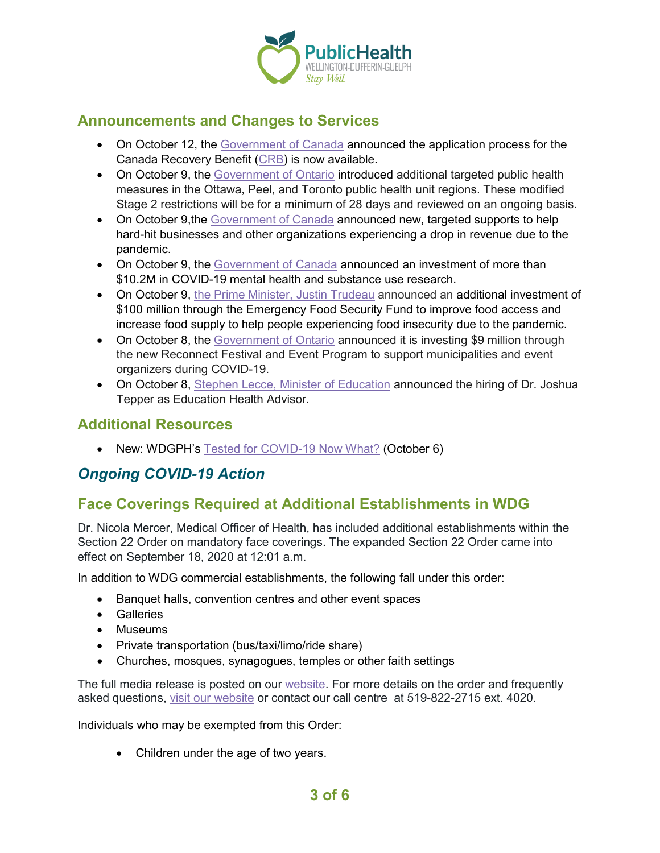

## **Announcements and Changes to Services**

- On October 12, the [Government of Canada](https://www.canada.ca/en/revenue-agency/news/2020/10/the-government-of-canada-launches-applications-for-the-canada-recovery-benefit.html) announced the application process for the Canada Recovery Benefit [\(CRB\)](https://www.canada.ca/en/revenue-agency/services/benefits/recovery-benefit.html) is now available.
- On October 9, the [Government of Ontario](https://news.ontario.ca/en/release/58767/ontario-implementing-additional-public-health-measures-in-toronto-ottawa-and-peel-region) introduced additional targeted public health measures in the Ottawa, Peel, and Toronto public health unit regions. These modified Stage 2 restrictions will be for a minimum of 28 days and reviewed on an ongoing basis.
- On October 9, the [Government of Canada](https://www.canada.ca/en/department-finance/news/2020/10/government-announces-new-targeted-support-to-help-businesses-through-pandemic.html) announced new, targeted supports to help hard-hit businesses and other organizations experiencing a drop in revenue due to the pandemic.
- On October 9, the [Government of Canada](https://www.canada.ca/en/institutes-health-research/news/2020/10/government-of-canada-and-provincial-partners-support-research-addressing-mental-health-impacts-of-covid-19-on-canadians.html) announced an investment of more than \$10.2M in COVID-19 mental health and substance use research.
- On October 9, [the Prime Minister, Justin Trudeau](https://pm.gc.ca/en/news/news-releases/2020/10/09/prime-minister-announces-additional-support-food-banks-and-local-food) announced an additional investment of \$100 million through the Emergency Food Security Fund to improve food access and increase food supply to help people experiencing food insecurity due to the pandemic.
- On October 8, the [Government of Ontario](https://news.ontario.ca/en/release/58734/ontario-supporting-local-festivals-and-events) announced it is investing \$9 million through the new Reconnect Festival and Event Program to support municipalities and event organizers during COVID-19.
- On October 8, [Stephen Lecce, Minister of Education](https://news.ontario.ca/en/statement/58741/ontario-hires-health-system-leader-as-education-health-advisor) announced the hiring of Dr. Joshua Tepper as Education Health Advisor.

### **Additional Resources**

• New: WDGPH's [Tested for COVID-19](https://www.wdgpublichealth.ca/sites/default/files/wdgph_guidance_for_after_covid_19_testing_oct_6_2020_002.pdf) Now What? (October 6)

# *Ongoing COVID-19 Action*

# **Face Coverings Required at Additional Establishments in WDG**

Dr. Nicola Mercer, Medical Officer of Health, has included additional establishments within the Section 22 Order on mandatory face coverings. The expanded Section 22 Order came into effect on September 18, 2020 at 12:01 a.m.

In addition to WDG commercial establishments, the following fall under this order:

- Banquet halls, convention centres and other event spaces
- Galleries
- Museums
- Private transportation (bus/taxi/limo/ride share)
- Churches, mosques, synagogues, temples or other faith settings

The full media release is posted on our [website.](https://www.wdgpublichealth.ca/news/increasing-cases-our-region-prompt-updates-dr-nicola-mercer%E2%80%99s-section-22-order) For more details on the order and frequently asked questions, [visit our website](https://www.wdgpublichealth.ca/your-health/covid-19-information-public/face-coverings-class-order-and-faqs) or contact our call centre at 519-822-2715 ext. 4020.

Individuals who may be exempted from this Order:

• Children under the age of two years.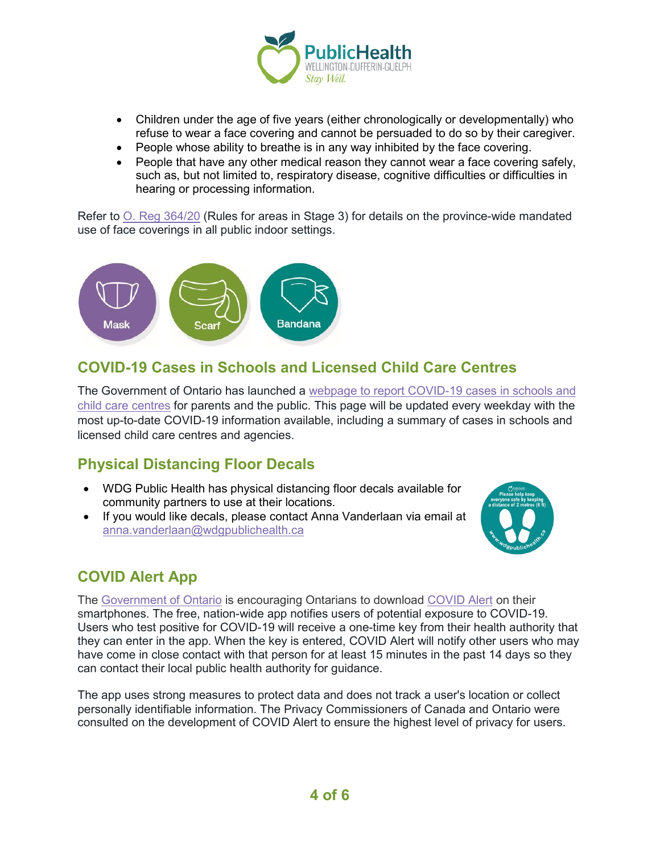

- Children under the age of five years (either chronologically or developmentally) who refuse to wear a face covering and cannot be persuaded to do so by their caregiver.
- People whose ability to breathe is in any way inhibited by the face covering.
- People that have any other medical reason they cannot wear a face covering safely, such as, but not limited to, respiratory disease, cognitive difficulties or difficulties in hearing or processing information.

Refer to [O. Reg 364/20](https://www.ontario.ca/laws/regulation/200364) (Rules for areas in Stage 3) for details on the province-wide mandated use of face coverings in all public indoor settings.



## **COVID-19 Cases in Schools and Licensed Child Care Centres**

The Government of Ontario has launched a [webpage to report COVID-19 cases in schools and](https://www.ontario.ca/page/covid-19-cases-schools-and-child-care-centres)  [child care centres](https://www.ontario.ca/page/covid-19-cases-schools-and-child-care-centres) for parents and the public. This page will be updated every weekday with the most up-to-date COVID-19 information available, including a summary of cases in schools and licensed child care centres and agencies.

# **Physical Distancing Floor Decals**

- WDG Public Health has physical distancing floor decals available for community partners to use at their locations.
- If you would like decals, please contact Anna Vanderlaan via email at [anna.vanderlaan@wdgpublichealth.ca](mailto:anna.vanderlaan@wdgpublichealth.ca)



# **COVID Alert App**

The [Government of Ontario](https://news.ontario.ca/opo/en/2020/07/covid-alert-available-for-download-beginning-today.html) is encouraging Ontarians to download [COVID Alert](https://covid-19.ontario.ca/covidalert?_ga=2.68068817.1702415536.1596548534-1123331746.1579028832) on their smartphones. The free, nation-wide app notifies users of potential exposure to COVID-19. Users who test positive for COVID-19 will receive a one-time key from their health authority that they can enter in the app. When the key is entered, COVID Alert will notify other users who may have come in close contact with that person for at least 15 minutes in the past 14 days so they can contact their local public health authority for guidance.

The app uses strong measures to protect data and does not track a user's location or collect personally identifiable information. The Privacy Commissioners of Canada and Ontario were consulted on the development of COVID Alert to ensure the highest level of privacy for users.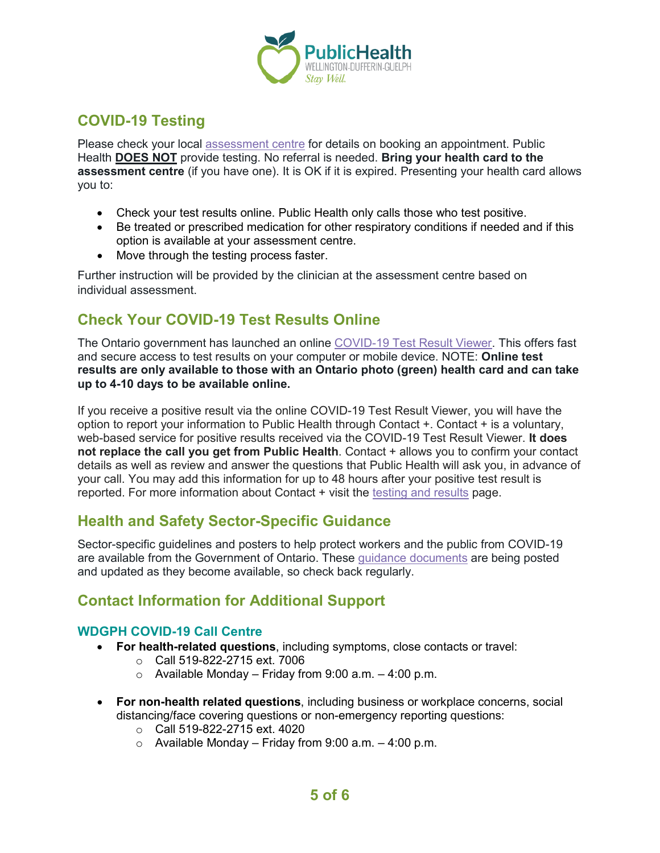

# **COVID-19 Testing**

Please check your local [assessment centre](https://wdgpublichealth.ca/your-health/covid-19-information-public/assessment-centres-wdg) for details on booking an appointment. Public Health **DOES NOT** provide testing. No referral is needed. **Bring your health card to the assessment centre** (if you have one). It is OK if it is expired. Presenting your health card allows you to:

- Check your test results online. Public Health only calls those who test positive.
- Be treated or prescribed medication for other respiratory conditions if needed and if this option is available at your assessment centre.
- Move through the testing process faster.

Further instruction will be provided by the clinician at the assessment centre based on individual assessment.

## **Check Your COVID-19 Test Results Online**

The Ontario government has launched an online [COVID-19 Test Result Viewer.](https://covid19results.ehealthontario.ca:4443/agree) This offers fast and secure access to test results on your computer or mobile device. NOTE: **Online test results are only available to those with an Ontario photo (green) health card and can take up to 4-10 days to be available online.**

If you receive a positive result via the online COVID-19 Test Result Viewer, you will have the option to report your information to Public Health through Contact +. Contact + is a voluntary, web-based service for positive results received via the COVID-19 Test Result Viewer. **It does not replace the call you get from Public Health**. Contact + allows you to confirm your contact details as well as review and answer the questions that Public Health will ask you, in advance of your call. You may add this information for up to 48 hours after your positive test result is reported. For more information about Contact + visit the [testing and results](https://www.wdgpublichealth.ca/your-health/covid-19-information-public/testing-and-results) page.

## **Health and Safety Sector-Specific Guidance**

Sector-specific guidelines and posters to help protect workers and the public from COVID-19 are available from the Government of Ontario. These [guidance documents](https://www.ontario.ca/page/resources-prevent-covid-19-workplace) are being posted and updated as they become available, so check back regularly.

# **Contact Information for Additional Support**

#### **WDGPH COVID-19 Call Centre**

- **For health-related questions**, including symptoms, close contacts or travel:
	- o Call 519-822-2715 ext. 7006
	- $\circ$  Available Monday Friday from 9:00 a.m. 4:00 p.m.
- **For non-health related questions**, including business or workplace concerns, social distancing/face covering questions or non-emergency reporting questions:
	- o Call 519-822-2715 ext. 4020
	- $\circ$  Available Monday Friday from 9:00 a.m. 4:00 p.m.